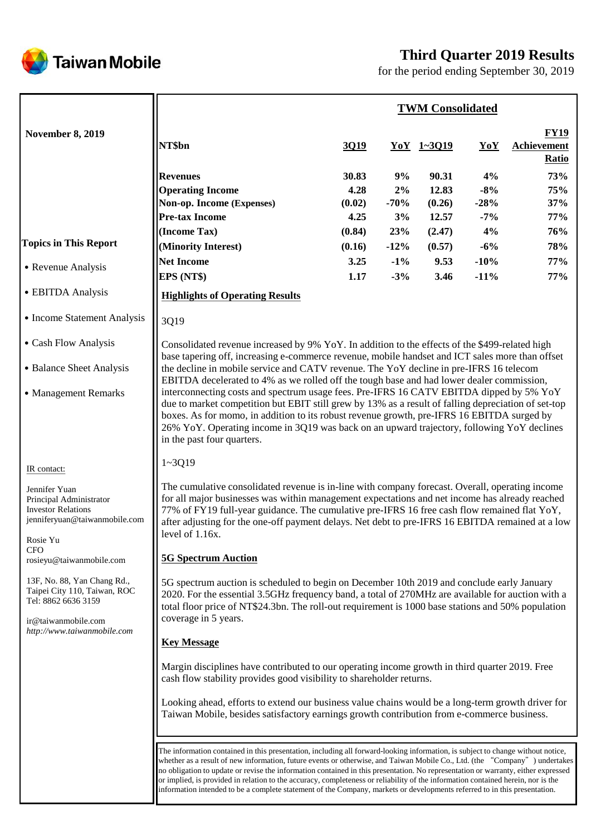

# **Third Quarter 2019 Results**

for the period ending September 30, 2019

|                                                                                                                                          |                                                                                                                                                                                                                                                                                                                                                                                                                                                                                                                                                                                                                                                                     |             |        | <b>TWM Consolidated</b> |        |                                                   |  |
|------------------------------------------------------------------------------------------------------------------------------------------|---------------------------------------------------------------------------------------------------------------------------------------------------------------------------------------------------------------------------------------------------------------------------------------------------------------------------------------------------------------------------------------------------------------------------------------------------------------------------------------------------------------------------------------------------------------------------------------------------------------------------------------------------------------------|-------------|--------|-------------------------|--------|---------------------------------------------------|--|
| <b>November 8, 2019</b>                                                                                                                  | NT\$bn                                                                                                                                                                                                                                                                                                                                                                                                                                                                                                                                                                                                                                                              | <u>3019</u> |        | $YoY$ 1~3019            | YoY    | <b>FY19</b><br><b>Achievement</b><br><b>Ratio</b> |  |
|                                                                                                                                          | <b>Revenues</b>                                                                                                                                                                                                                                                                                                                                                                                                                                                                                                                                                                                                                                                     | 30.83       | 9%     | 90.31                   | 4%     | 73%                                               |  |
|                                                                                                                                          | <b>Operating Income</b>                                                                                                                                                                                                                                                                                                                                                                                                                                                                                                                                                                                                                                             | 4.28        | 2%     | 12.83                   | $-8%$  | 75%                                               |  |
|                                                                                                                                          | Non-op. Income (Expenses)                                                                                                                                                                                                                                                                                                                                                                                                                                                                                                                                                                                                                                           | (0.02)      | $-70%$ | (0.26)                  | $-28%$ | 37%                                               |  |
|                                                                                                                                          | <b>Pre-tax Income</b>                                                                                                                                                                                                                                                                                                                                                                                                                                                                                                                                                                                                                                               | 4.25        | 3%     | 12.57                   | $-7%$  | 77%                                               |  |
|                                                                                                                                          | (Income Tax)                                                                                                                                                                                                                                                                                                                                                                                                                                                                                                                                                                                                                                                        | (0.84)      | 23%    | (2.47)                  | 4%     | 76%                                               |  |
| <b>Topics in This Report</b>                                                                                                             | (Minority Interest)                                                                                                                                                                                                                                                                                                                                                                                                                                                                                                                                                                                                                                                 | (0.16)      | $-12%$ | (0.57)                  | $-6%$  | 78%                                               |  |
|                                                                                                                                          | <b>Net Income</b>                                                                                                                                                                                                                                                                                                                                                                                                                                                                                                                                                                                                                                                   | 3.25        | $-1\%$ | 9.53                    | $-10%$ | 77%                                               |  |
| • Revenue Analysis                                                                                                                       | EPS (NT\$)                                                                                                                                                                                                                                                                                                                                                                                                                                                                                                                                                                                                                                                          | 1.17        | $-3%$  | 3.46                    | $-11%$ | 77%                                               |  |
| • EBITDA Analysis                                                                                                                        | <b>Highlights of Operating Results</b>                                                                                                                                                                                                                                                                                                                                                                                                                                                                                                                                                                                                                              |             |        |                         |        |                                                   |  |
| • Income Statement Analysis                                                                                                              | 3Q19                                                                                                                                                                                                                                                                                                                                                                                                                                                                                                                                                                                                                                                                |             |        |                         |        |                                                   |  |
| • Cash Flow Analysis                                                                                                                     | Consolidated revenue increased by 9% YoY. In addition to the effects of the \$499-related high<br>base tapering off, increasing e-commerce revenue, mobile handset and ICT sales more than offset                                                                                                                                                                                                                                                                                                                                                                                                                                                                   |             |        |                         |        |                                                   |  |
| • Balance Sheet Analysis                                                                                                                 | the decline in mobile service and CATV revenue. The YoY decline in pre-IFRS 16 telecom                                                                                                                                                                                                                                                                                                                                                                                                                                                                                                                                                                              |             |        |                         |        |                                                   |  |
| • Management Remarks                                                                                                                     | EBITDA decelerated to 4% as we rolled off the tough base and had lower dealer commission,<br>interconnecting costs and spectrum usage fees. Pre-IFRS 16 CATV EBITDA dipped by 5% YoY<br>due to market competition but EBIT still grew by 13% as a result of falling depreciation of set-top<br>boxes. As for momo, in addition to its robust revenue growth, pre-IFRS 16 EBITDA surged by<br>26% YoY. Operating income in 3Q19 was back on an upward trajectory, following YoY declines<br>in the past four quarters.                                                                                                                                               |             |        |                         |        |                                                   |  |
| IR contact:                                                                                                                              | $1 - 3Q19$                                                                                                                                                                                                                                                                                                                                                                                                                                                                                                                                                                                                                                                          |             |        |                         |        |                                                   |  |
| Jennifer Yuan<br>Principal Administrator<br><b>Investor Relations</b><br>jenniferyuan@taiwanmobile.com<br>Rosie Yu                       | The cumulative consolidated revenue is in-line with company forecast. Overall, operating income<br>for all major businesses was within management expectations and net income has already reached<br>77% of FY19 full-year guidance. The cumulative pre-IFRS 16 free cash flow remained flat YoY,<br>after adjusting for the one-off payment delays. Net debt to pre-IFRS 16 EBITDA remained at a low<br>level of 1.16x.                                                                                                                                                                                                                                            |             |        |                         |        |                                                   |  |
| <b>CFO</b><br>rosieyu@taiwanmobile.com                                                                                                   | <b>5G Spectrum Auction</b>                                                                                                                                                                                                                                                                                                                                                                                                                                                                                                                                                                                                                                          |             |        |                         |        |                                                   |  |
| 13F, No. 88, Yan Chang Rd.,<br>Taipei City 110, Taiwan, ROC<br>Tel: 8862 6636 3159<br>ir@taiwanmobile.com<br>http://www.taiwanmobile.com | 5G spectrum auction is scheduled to begin on December 10th 2019 and conclude early January<br>2020. For the essential 3.5GHz frequency band, a total of 270MHz are available for auction with a<br>total floor price of NT\$24.3bn. The roll-out requirement is 1000 base stations and 50% population<br>coverage in 5 years.                                                                                                                                                                                                                                                                                                                                       |             |        |                         |        |                                                   |  |
|                                                                                                                                          | <b>Key Message</b>                                                                                                                                                                                                                                                                                                                                                                                                                                                                                                                                                                                                                                                  |             |        |                         |        |                                                   |  |
|                                                                                                                                          | Margin disciplines have contributed to our operating income growth in third quarter 2019. Free<br>cash flow stability provides good visibility to shareholder returns.                                                                                                                                                                                                                                                                                                                                                                                                                                                                                              |             |        |                         |        |                                                   |  |
|                                                                                                                                          | Looking ahead, efforts to extend our business value chains would be a long-term growth driver for<br>Taiwan Mobile, besides satisfactory earnings growth contribution from e-commerce business.                                                                                                                                                                                                                                                                                                                                                                                                                                                                     |             |        |                         |        |                                                   |  |
|                                                                                                                                          | The information contained in this presentation, including all forward-looking information, is subject to change without notice,<br>whether as a result of new information, future events or otherwise, and Taiwan Mobile Co., Ltd. (the "Company") undertakes<br>no obligation to update or revise the information contained in this presentation. No representation or warranty, either expressed<br>or implied, is provided in relation to the accuracy, completeness or reliability of the information contained herein, nor is the<br>information intended to be a complete statement of the Company, markets or developments referred to in this presentation. |             |        |                         |        |                                                   |  |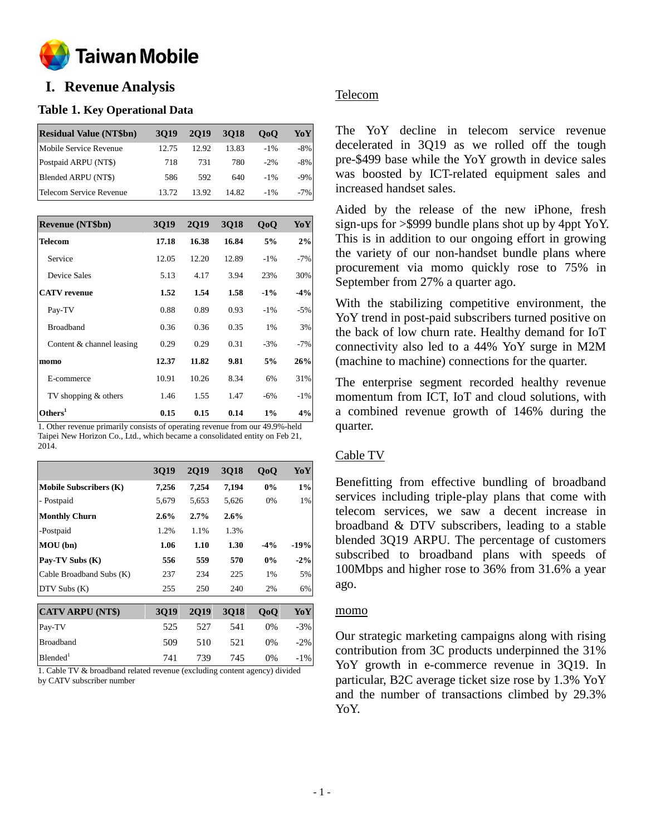

# **o I. Revenue Analysis**

## **Table 1. Key Operational Data**

| <b>Residual Value (NT\$bn)</b> | 3019  | 2019  | 3018  | 0 <sub>0</sub> | YoY    |
|--------------------------------|-------|-------|-------|----------------|--------|
| Mobile Service Revenue         | 12.75 | 12.92 | 13.83 | $-1\%$         | $-8\%$ |
| Postpaid ARPU (NT\$)           | 718   | 731   | 780   | $-2\%$         | $-8\%$ |
| Blended ARPU (NT\$)            | 586   | 592   | 640   | $-1\%$         | $-9\%$ |
| Telecom Service Revenue        | 13.72 | 13.92 | 14.82 | $-1\%$         | $-7\%$ |

| <b>Revenue (NT\$bn)</b>   | 3019  | <b>2Q19</b> | 3Q18  | QoQ    | YoY    |
|---------------------------|-------|-------------|-------|--------|--------|
| <b>Telecom</b>            | 17.18 | 16.38       | 16.84 | 5%     | 2%     |
| Service                   | 12.05 | 12.20       | 12.89 | $-1\%$ | $-7%$  |
| Device Sales              | 5.13  | 4.17        | 3.94  | 23%    | 30%    |
| <b>CATV</b> revenue       | 1.52  | 1.54        | 1.58  | $-1\%$ | $-4%$  |
| Pay-TV                    | 0.88  | 0.89        | 0.93  | $-1\%$ | $-5%$  |
| <b>Broadband</b>          | 0.36  | 0.36        | 0.35  | 1%     | 3%     |
| Content & channel leasing | 0.29  | 0.29        | 0.31  | $-3%$  | $-7%$  |
| momo                      | 12.37 | 11.82       | 9.81  | 5%     | 26%    |
| E-commerce                | 10.91 | 10.26       | 8.34  | 6%     | 31%    |
| TV shopping & others      | 1.46  | 1.55        | 1.47  | $-6\%$ | $-1\%$ |
| Others <sup>1</sup>       | 0.15  | 0.15        | 0.14  | 1%     | 4%     |

1. Other revenue primarily consists of operating revenue from our 49.9%-held Taipei New Horizon Co., Ltd., which became a consolidated entity on Feb 21, 2014.

|                               | <b>3Q19</b> | <b>2Q19</b> | <b>3Q18</b> | QoQ    | YoY    |
|-------------------------------|-------------|-------------|-------------|--------|--------|
| <b>Mobile Subscribers (K)</b> | 7,256       | 7,254       | 7,194       | 0%     | $1\%$  |
| - Postpaid                    | 5,679       | 5,653       | 5,626       | 0%     | 1%     |
| <b>Monthly Churn</b>          | 2.6%        | 2.7%        | 2.6%        |        |        |
| -Postpaid                     | 1.2%        | 1.1%        | 1.3%        |        |        |
| MOU(bn)                       | 1.06        | 1.10        | 1.30        | $-4\%$ | -19%   |
| Pay-TV Subs (K)               | 556         | 559         | 570         | 0%     | $-2\%$ |
| Cable Broadband Subs (K)      | 237         | 234         | 225         | 1%     | 5%     |
| DTV Subs(K)                   | 255         | 250         | 240         | 2%     | 6%     |
|                               |             |             |             |        |        |
| <b>CATV ARPU (NT\$)</b>       | 3Q19        | <b>2Q19</b> | 3Q18        | QoQ    | YoY    |
| Pay-TV                        | 525         | 527         | 541         | $0\%$  | $-3%$  |
| <b>Broadband</b>              | 509         | 510         | 521         | $0\%$  | $-2\%$ |
| Blended <sup>1</sup>          | 741         | 739         | 745         | $0\%$  | $-1\%$ |

1. Cable TV & broadband related revenue (excluding content agency) divided by CATV subscriber number

# Telecom

The YoY decline in telecom service revenue decelerated in 3Q19 as we rolled off the tough pre-\$499 base while the YoY growth in device sales was boosted by ICT-related equipment sales and increased handset sales.

Aided by the release of the new iPhone, fresh sign-ups for >\$999 bundle plans shot up by 4ppt YoY. This is in addition to our ongoing effort in growing the variety of our non-handset bundle plans where procurement via momo quickly rose to 75% in September from 27% a quarter ago.

With the stabilizing competitive environment, the YoY trend in post-paid subscribers turned positive on the back of low churn rate. Healthy demand for IoT connectivity also led to a 44% YoY surge in M2M (machine to machine) connections for the quarter.

The enterprise segment recorded healthy revenue momentum from ICT, IoT and cloud solutions, with a combined revenue growth of 146% during the quarter.

## Cable TV

Benefitting from effective bundling of broadband services including triple-play plans that come with telecom services, we saw a decent increase in broadband & DTV subscribers, leading to a stable blended 3Q19 ARPU. The percentage of customers subscribed to broadband plans with speeds of 100Mbps and higher rose to 36% from 31.6% a year ago.

## momo

Our strategic marketing campaigns along with rising contribution from 3C products underpinned the 31% YoY growth in e-commerce revenue in 3Q19. In particular, B2C average ticket size rose by 1.3% YoY and the number of transactions climbed by 29.3% YoY.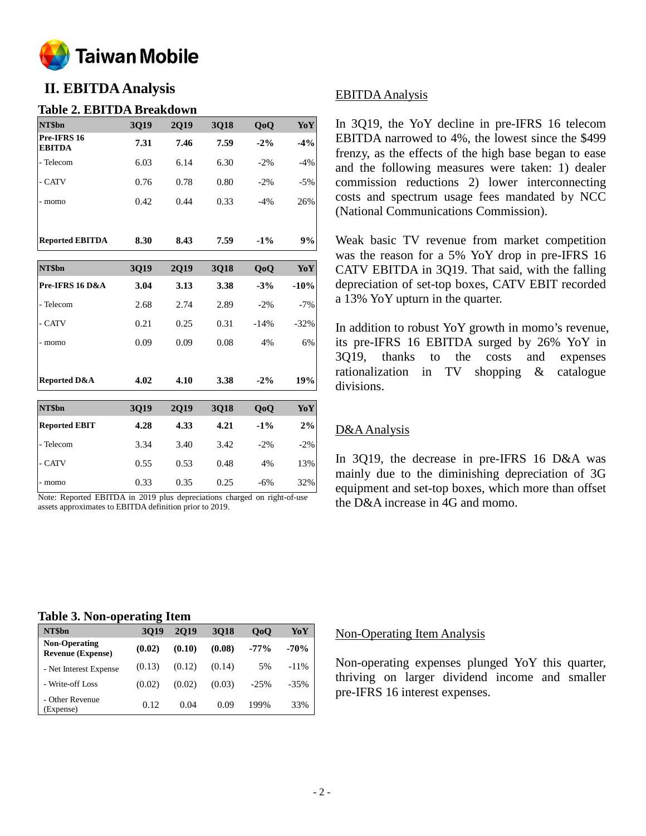

# **II. EBITDA Analysis**

### **Table 2. EBITDA Breakdown**

| NT\$bn                       | 3Q19 | 2019 | <b>3Q18</b> | QoQ    | YoY   |
|------------------------------|------|------|-------------|--------|-------|
| Pre-IFRS 16<br><b>EBITDA</b> | 7.31 | 7.46 | 7.59        | $-2\%$ | $-4%$ |
| - Telecom                    | 6.03 | 6.14 | 6.30        | $-2%$  | $-4%$ |
| - CATV                       | 0.76 | 0.78 | 0.80        | $-2\%$ | $-5%$ |
| momo<br>-                    | 0.42 | 0.44 | 0.33        | $-4%$  | 26%   |
|                              |      |      |             |        |       |
| <b>Reported EBITDA</b>       | 8.30 | 8.43 | 7.59        | $-1\%$ | 9%    |

| NT\$bn                  | 3Q19 | <b>2Q19</b> | 3Q18 | QoQ    | YoY    |
|-------------------------|------|-------------|------|--------|--------|
| Pre-IFRS 16 D&A         | 3.04 | 3.13        | 3.38 | $-3%$  | $-10%$ |
| - Telecom               | 2.68 | 2.74        | 2.89 | $-2\%$ | $-7%$  |
| - CATV                  | 0.21 | 0.25        | 0.31 | $-14%$ | $-32%$ |
| - momo                  | 0.09 | 0.09        | 0.08 | 4%     | 6%     |
|                         |      |             |      |        |        |
| <b>Reported D&amp;A</b> | 4.02 | 4.10        | 3.38 | $-2\%$ | 19%    |
| NT\$bn                  | 3Q19 | <b>2Q19</b> | 3Q18 | QoQ    | YoY    |
| <b>Reported EBIT</b>    | 4.28 | 4.33        | 4.21 | $-1\%$ | 2%     |
| - Telecom               | 3.34 | 3.40        | 3.42 | $-2\%$ | $-2\%$ |
| - CATV                  | 0.55 | 0.53        | 0.48 | 4%     | 13%    |
|                         |      |             |      |        |        |

- momo 0.33 0.35 0.25 -6% 32% Note: Reported EBITDA in 2019 plus depreciations charged on right-of-use assets approximates to EBITDA definition prior to 2019.

### EBITDA Analysis

In 3Q19, the YoY decline in pre-IFRS 16 telecom EBITDA narrowed to 4%, the lowest since the \$499 frenzy, as the effects of the high base began to ease and the following measures were taken: 1) dealer commission reductions 2) lower interconnecting costs and spectrum usage fees mandated by NCC (National Communications Commission).

Weak basic TV revenue from market competition was the reason for a 5% YoY drop in pre-IFRS 16 CATV EBITDA in 3Q19. That said, with the falling depreciation of set-top boxes, CATV EBIT recorded a 13% YoY upturn in the quarter.

In addition to robust YoY growth in momo's revenue, its pre-IFRS 16 EBITDA surged by 26% YoY in 3Q19, thanks to the costs and expenses rationalization in TV shopping & catalogue divisions.

## D&AAnalysis

In 3Q19, the decrease in pre-IFRS 16 D&A was mainly due to the diminishing depreciation of 3G equipment and set-top boxes, which more than offset the D&A increase in 4G and momo.

#### **Table 3. Non-operating Item**

| NT\$bn                                           | 3019   | 2019   | 3018   | 0 <sub>0</sub> | YoY     |
|--------------------------------------------------|--------|--------|--------|----------------|---------|
| <b>Non-Operating</b><br><b>Revenue (Expense)</b> | (0.02) | (0.10) | (0.08) | $-77%$         | $-70%$  |
| - Net Interest Expense                           | (0.13) | (0.12) | (0.14) | 5%             | $-11\%$ |
| - Write-off Loss                                 | (0.02) | (0.02) | (0.03) | $-25%$         | $-35%$  |
| - Other Revenue<br>Expense)                      | 0.12   | 0.04   | 0.09   | 199%           | 33%     |

#### Non-Operating Item Analysis

Non-operating expenses plunged YoY this quarter, thriving on larger dividend income and smaller pre-IFRS 16 interest expenses.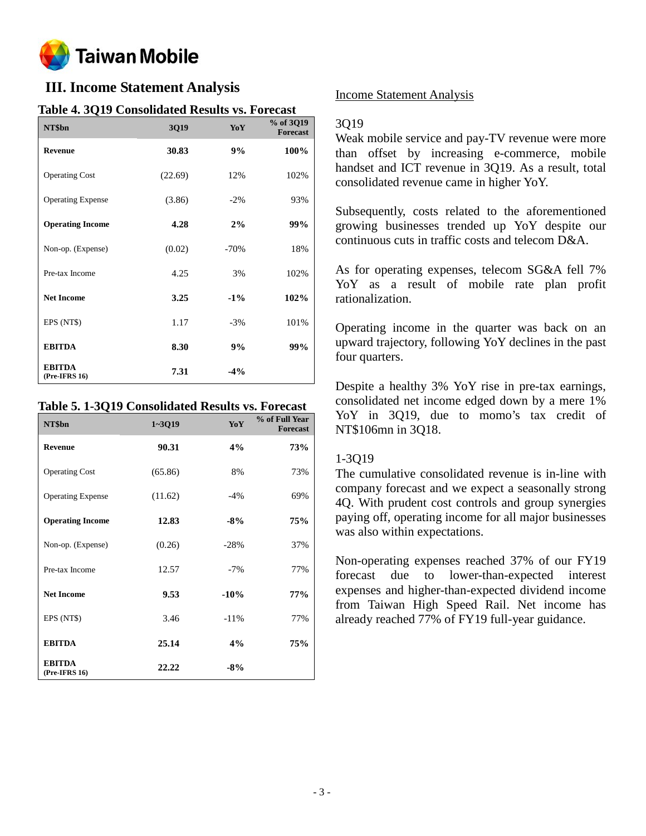

# **III. Income Statement Analysis**

# **Table 4. 3Q19 Consolidated Results vs. Forecast**

| NT\$bn                         | <b>3Q19</b> | YoY    | % of 3Q19<br><b>Forecast</b> |
|--------------------------------|-------------|--------|------------------------------|
| <b>Revenue</b>                 | 30.83       | 9%     | 100%                         |
| <b>Operating Cost</b>          | (22.69)     | 12%    | 102%                         |
| <b>Operating Expense</b>       | (3.86)      | $-2\%$ | 93%                          |
| <b>Operating Income</b>        | 4.28        | 2%     | 99%                          |
| Non-op. (Expense)              | (0.02)      | $-70%$ | 18%                          |
| Pre-tax Income                 | 4.25        | 3%     | 102%                         |
| <b>Net Income</b>              | 3.25        | $-1\%$ | 102%                         |
| EPS (NT\$)                     | 1.17        | $-3%$  | 101%                         |
| <b>EBITDA</b>                  | 8.30        | 9%     | 99%                          |
| <b>EBITDA</b><br>(Pre-IFRS 16) | 7.31        | $-4%$  |                              |

#### **Table 5. 1-3Q19 Consolidated Results vs. Forecast**

| NT\$bn                           | $1 - 3019$ | <b>YoY</b> | % of Full Year<br><b>Forecast</b> |
|----------------------------------|------------|------------|-----------------------------------|
| <b>Revenue</b>                   | 90.31      | 4%         | 73%                               |
| <b>Operating Cost</b>            | (65.86)    | 8%         | 73%                               |
| <b>Operating Expense</b>         | (11.62)    | $-4%$      | 69%                               |
| <b>Operating Income</b>          | 12.83      | $-8%$      | 75%                               |
| Non-op. (Expense)                | (0.26)     | $-28%$     | 37%                               |
| Pre-tax Income                   | 12.57      | $-7%$      | 77%                               |
| <b>Net Income</b>                | 9.53       | $-10%$     | 77%                               |
| EPS (NT\$)                       | 3.46       | $-11%$     | 77%                               |
| <b>EBITDA</b>                    | 25.14      | 4%         | 75%                               |
| <b>EBITDA</b><br>$(Pre-IFRS 16)$ | 22.22      | $-8\%$     |                                   |

### Income Statement Analysis

### 3Q19

Weak mobile service and pay-TV revenue were more than offset by increasing e-commerce, mobile handset and ICT revenue in 3Q19. As a result, total consolidated revenue came in higher YoY.

Subsequently, costs related to the aforementioned growing businesses trended up YoY despite our continuous cuts in traffic costs and telecom D&A.

As for operating expenses, telecom SG&A fell 7% YoY as a result of mobile rate plan profit rationalization.

Operating income in the quarter was back on an upward trajectory, following YoY declines in the past four quarters.

Despite a healthy 3% YoY rise in pre-tax earnings, consolidated net income edged down by a mere 1% YoY in 3Q19, due to momo's tax credit of NT\$106mn in 3Q18.

## 1-3Q19

The cumulative consolidated revenue is in-line with company forecast and we expect a seasonally strong 4Q. With prudent cost controls and group synergies paying off, operating income for all major businesses was also within expectations.

Non-operating expenses reached 37% of our FY19 forecast due to lower-than-expected interest expenses and higher-than-expected dividend income from Taiwan High Speed Rail. Net income has already reached 77% of FY19 full-year guidance.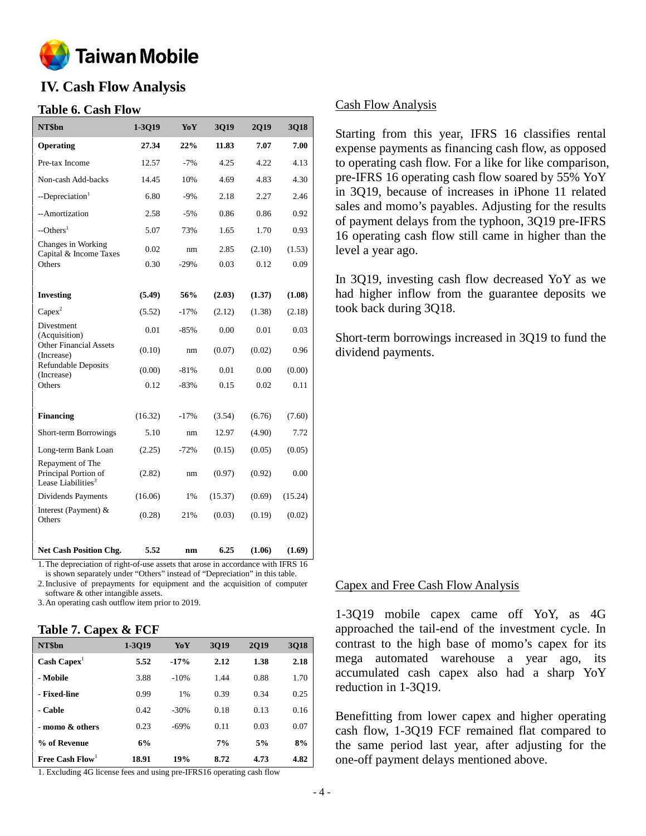

# **IV. Cash Flow Analysis**

### **Table 6. Cash Flow**

| NT\$bn                                                            | 1-3Q19  | YoY    | 3Q19    | 2Q19   | 3Q18    |
|-------------------------------------------------------------------|---------|--------|---------|--------|---------|
| Operating                                                         | 27.34   | 22%    | 11.83   | 7.07   | 7.00    |
| Pre-tax Income                                                    | 12.57   | $-7%$  | 4.25    | 4.22   | 4.13    |
| Non-cash Add-backs                                                | 14.45   | 10%    | 4.69    | 4.83   | 4.30    |
| --Depreciation <sup>1</sup>                                       | 6.80    | $-9%$  | 2.18    | 2.27   | 2.46    |
| --Amortization                                                    | 2.58    | $-5%$  | 0.86    | 0.86   | 0.92    |
| $-$ Others <sup>1</sup>                                           | 5.07    | 73%    | 1.65    | 1.70   | 0.93    |
| Changes in Working<br>Capital & Income Taxes                      | 0.02    | nm     | 2.85    | (2.10) | (1.53)  |
| Others                                                            | 0.30    | $-29%$ | 0.03    | 0.12   | 0.09    |
|                                                                   |         |        |         |        |         |
| <b>Investing</b>                                                  | (5.49)  | 56%    | (2.03)  | (1.37) | (1.08)  |
| $Capex^2$                                                         | (5.52)  | $-17%$ | (2.12)  | (1.38) | (2.18)  |
| Divestment<br>(Acquisition)                                       | 0.01    | $-85%$ | 0.00    | 0.01   | 0.03    |
| Other Financial Assets<br>(Increase)                              | (0.10)  | nm     | (0.07)  | (0.02) | 0.96    |
| <b>Refundable Deposits</b><br>(Increase)                          | (0.00)  | $-81%$ | 0.01    | 0.00   | (0.00)  |
| Others                                                            | 0.12    | $-83%$ | 0.15    | 0.02   | 0.11    |
|                                                                   |         |        |         |        |         |
| <b>Financing</b>                                                  | (16.32) | $-17%$ | (3.54)  | (6.76) | (7.60)  |
| Short-term Borrowings                                             | 5.10    | nm     | 12.97   | (4.90) | 7.72    |
| Long-term Bank Loan                                               | (2.25)  | $-72%$ | (0.15)  | (0.05) | (0.05)  |
| Repayment of The<br>Principal Portion of<br>Lease Liabilities $3$ | (2.82)  | nm     | (0.97)  | (0.92) | 0.00    |
| Dividends Payments                                                | (16.06) | 1%     | (15.37) | (0.69) | (15.24) |
| Interest (Payment) &<br>Others                                    | (0.28)  | 21%    | (0.03)  | (0.19) | (0.02)  |
| <b>Net Cash Position Chg.</b>                                     | 5.52    | nm     | 6.25    | (1.06) | (1.69)  |

1.The depreciation of right-of-use assets that arose in accordance with IFRS 16

is shown separately under "Others" instead of "Depreciation" in this table. 2.Inclusive of prepayments for equipment and the acquisition of computer

software & other intangible assets.

3.An operating cash outflow item prior to 2019.

## **Table 7. Capex & FCF**

| NT\$bn                        | 1-3019 | YoY    | 3019 | 2019 | 3018 |
|-------------------------------|--------|--------|------|------|------|
| $\text{Cash} \text{ Capex}^1$ | 5.52   | $-17%$ | 2.12 | 1.38 | 2.18 |
| - Mobile                      | 3.88   | $-10%$ | 1.44 | 0.88 | 1.70 |
| - Fixed-line                  | 0.99   | 1%     | 0.39 | 0.34 | 0.25 |
| - Cable                       | 0.42   | $-30%$ | 0.18 | 0.13 | 0.16 |
| - momo & others               | 0.23   | $-69%$ | 0.11 | 0.03 | 0.07 |
| % of Revenue                  | 6%     |        | 7%   | 5%   | 8%   |
| Free Cash $Flow1$             | 18.91  | 19%    | 8.72 | 4.73 | 4.82 |

1. Excluding 4G license fees and using pre-IFRS16 operating cash flow

### Cash Flow Analysis

Starting from this year, IFRS 16 classifies rental expense payments as financing cash flow, as opposed to operating cash flow. For a like for like comparison, pre-IFRS 16 operating cash flow soared by 55% YoY in 3Q19, because of increases in iPhone 11 related sales and momo's payables. Adjusting for the results of payment delays from the typhoon, 3Q19 pre-IFRS 16 operating cash flow still came in higher than the level a year ago.

In 3Q19, investing cash flow decreased YoY as we had higher inflow from the guarantee deposits we took back during 3Q18.

Short-term borrowings increased in 3Q19 to fund the dividend payments.

#### Capex and Free Cash Flow Analysis

1-3Q19 mobile capex came off YoY, as 4G approached the tail-end of the investment cycle. In contrast to the high base of momo's capex for its mega automated warehouse a year ago, its accumulated cash capex also had a sharp YoY reduction in 1-3Q19.

Benefitting from lower capex and higher operating cash flow, 1-3Q19 FCF remained flat compared to the same period last year, after adjusting for the one-off payment delays mentioned above.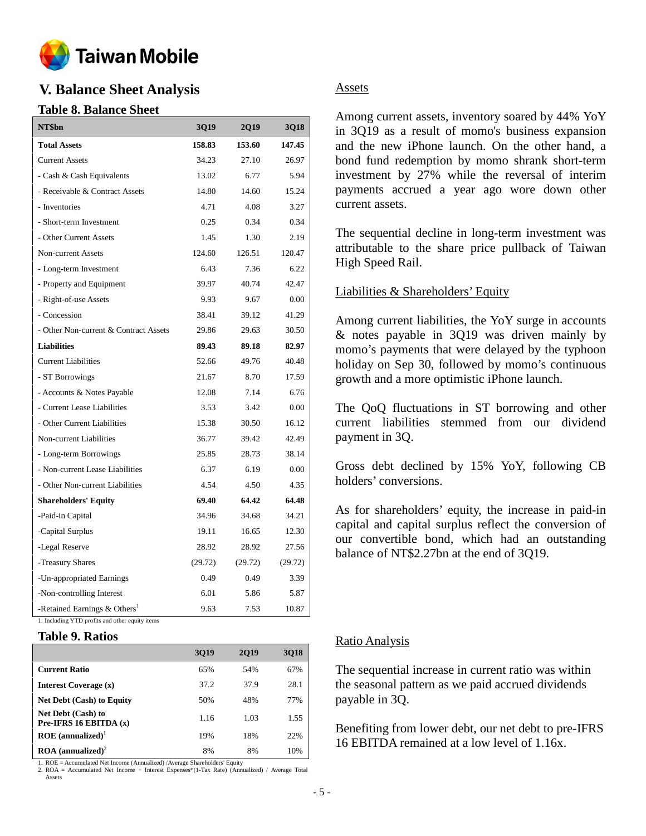

# **V. Balance Sheet Analysis**

# **Table 8. Balance Sheet**

| NT\$bn                                     | 3Q19    | <b>2Q19</b> | 3Q18    |
|--------------------------------------------|---------|-------------|---------|
| <b>Total Assets</b>                        | 158.83  | 153.60      | 147.45  |
| <b>Current Assets</b>                      | 34.23   | 27.10       | 26.97   |
| - Cash & Cash Equivalents                  | 13.02   | 6.77        | 5.94    |
| - Receivable & Contract Assets             | 14.80   | 14.60       | 15.24   |
| - Inventories                              | 4.71    | 4.08        | 3.27    |
| - Short-term Investment                    | 0.25    | 0.34        | 0.34    |
| - Other Current Assets                     | 1.45    | 1.30        | 2.19    |
| Non-current Assets                         | 124.60  | 126.51      | 120.47  |
| - Long-term Investment                     | 6.43    | 7.36        | 6.22    |
| - Property and Equipment                   | 39.97   | 40.74       | 42.47   |
| - Right-of-use Assets                      | 9.93    | 9.67        | 0.00    |
| - Concession                               | 38.41   | 39.12       | 41.29   |
| - Other Non-current & Contract Assets      | 29.86   | 29.63       | 30.50   |
| <b>Liabilities</b>                         | 89.43   | 89.18       | 82.97   |
| <b>Current Liabilities</b>                 | 52.66   | 49.76       | 40.48   |
| - ST Borrowings                            | 21.67   | 8.70        | 17.59   |
| - Accounts & Notes Payable                 | 12.08   | 7.14        | 6.76    |
| - Current Lease Liabilities                | 3.53    | 3.42        | 0.00    |
| - Other Current Liabilities                | 15.38   | 30.50       | 16.12   |
| Non-current Liabilities                    | 36.77   | 39.42       | 42.49   |
| - Long-term Borrowings                     | 25.85   | 28.73       | 38.14   |
| - Non-current Lease Liabilities            | 6.37    | 6.19        | 0.00    |
| - Other Non-current Liabilities            | 4.54    | 4.50        | 4.35    |
| <b>Shareholders' Equity</b>                | 69.40   | 64.42       | 64.48   |
| -Paid-in Capital                           | 34.96   | 34.68       | 34.21   |
| -Capital Surplus                           | 19.11   | 16.65       | 12.30   |
| -Legal Reserve                             | 28.92   | 28.92       | 27.56   |
| -Treasury Shares                           | (29.72) | (29.72)     | (29.72) |
| -Un-appropriated Earnings                  | 0.49    | 0.49        | 3.39    |
| -Non-controlling Interest                  | 6.01    | 5.86        | 5.87    |
| -Retained Earnings $&$ Others <sup>1</sup> | 9.63    | 7.53        | 10.87   |

1: Including YTD profits and other equity items

#### **Table 9. Ratios**

|                                                | 3019 | 2019 | 3018 |
|------------------------------------------------|------|------|------|
| <b>Current Ratio</b>                           | 65%  | 54%  | 67%  |
| Interest Coverage (x)                          | 37.2 | 37.9 | 28.1 |
| <b>Net Debt (Cash) to Equity</b>               | 50%  | 48%  | 77%  |
| Net Debt (Cash) to<br>Pre-IFRS 16 EBITDA $(x)$ | 1.16 | 1.03 | 1.55 |
| $ROE$ (annualized) <sup>1</sup>                | 19%  | 18%  | 22%  |
| $\textbf{ROA}$ (annualized) <sup>2</sup>       | 8%   | 8%   | 10%  |

1. ROE = Accumulated Net Income (Annualized) /Average Shareholders' Equity

2. ROA = Accumulated Net Income + Interest Expenses\*(1-Tax Rate) (Annualized) / Average Total Assets

### Assets

Among current assets, inventory soared by 44% YoY in 3Q19 as a result of momo's business expansion and the new iPhone launch. On the other hand, a bond fund redemption by momo shrank short-term investment by 27% while the reversal of interim payments accrued a year ago wore down other current assets.

The sequential decline in long-term investment was attributable to the share price pullback of Taiwan High Speed Rail.

### Liabilities & Shareholders' Equity

Among current liabilities, the YoY surge in accounts & notes payable in 3Q19 was driven mainly by momo's payments that were delayed by the typhoon holiday on Sep 30, followed by momo's continuous growth and a more optimistic iPhone launch.

The QoQ fluctuations in ST borrowing and other current liabilities stemmed from our dividend payment in 3Q.

Gross debt declined by 15% YoY, following CB holders' conversions.

As for shareholders' equity, the increase in paid-in capital and capital surplus reflect the conversion of our convertible bond, which had an outstanding balance of NT\$2.27bn at the end of 3Q19.

## Ratio Analysis

The sequential increase in current ratio was within the seasonal pattern as we paid accrued dividends payable in 3Q.

Benefiting from lower debt, our net debt to pre-IFRS 16 EBITDA remained at a low level of 1.16x.